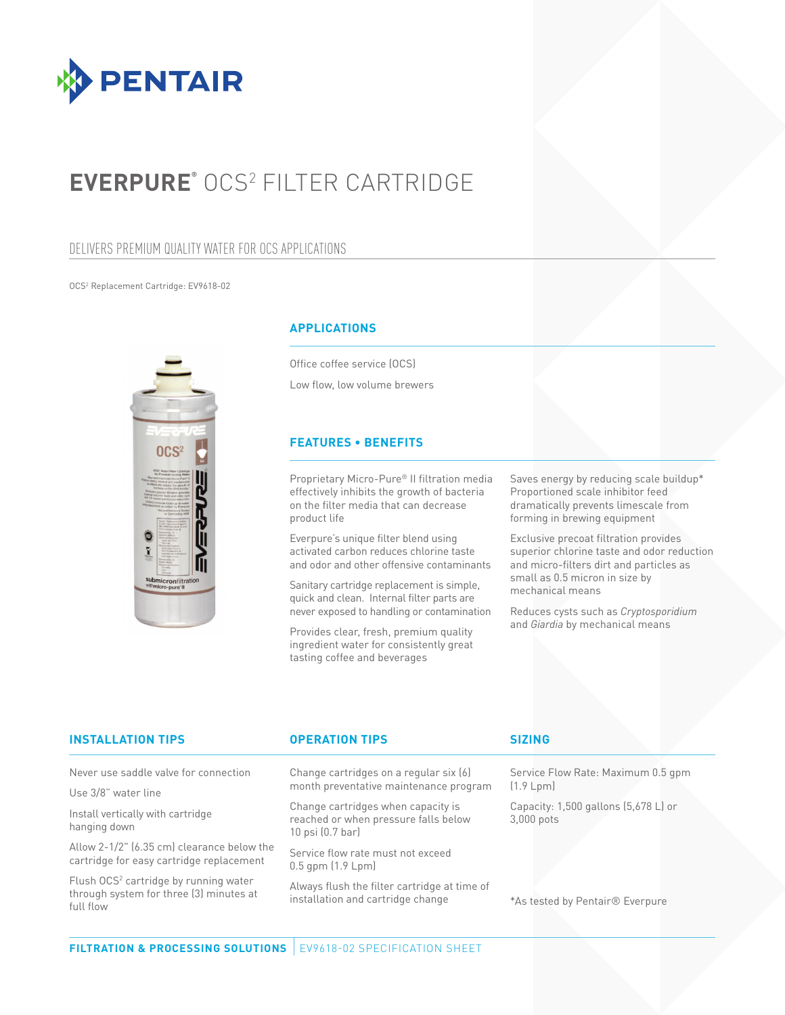

# **EVERPURE®** OCS2 FILTER CARTRIDGE

## DELIVERS PREMIUM QUALITY WATER FOR OCS APPLICATIONS

#### OCS2 Replacement Cartridge: EV9618-02



#### **APPLICATIONS**

Office coffee service (OCS) Low flow, low volume brewers

#### **FEATURES • BENEFITS**

Proprietary Micro-Pure® II filtration media effectively inhibits the growth of bacteria on the filter media that can decrease product life

Everpure's unique filter blend using activated carbon reduces chlorine taste and odor and other offensive contaminants

Sanitary cartridge replacement is simple, quick and clean. Internal filter parts are never exposed to handling or contamination

Provides clear, fresh, premium quality ingredient water for consistently great tasting coffee and beverages

Saves energy by reducing scale buildup\* Proportioned scale inhibitor feed dramatically prevents limescale from forming in brewing equipment

Exclusive precoat filtration provides superior chlorine taste and odor reduction and micro-filters dirt and particles as small as 0.5 micron in size by mechanical means

Reduces cysts such as *Cryptosporidium* and *Giardia* by mechanical means

| <b>INSTALLATION TIPS</b>                                                                                  | <b>OPERATION TIPS</b>                                                                              | <b>SIZING</b>                                      |
|-----------------------------------------------------------------------------------------------------------|----------------------------------------------------------------------------------------------------|----------------------------------------------------|
| Never use saddle valve for connection                                                                     | Change cartridges on a regular six (6)<br>month preventative maintenance program                   | Service Flow Rate: Maximum 0.5 gpm<br>(1.9 Lpm)    |
| Use 3/8" water line                                                                                       |                                                                                                    |                                                    |
| Install vertically with cartridge<br>hanging down                                                         | Change cartridges when capacity is<br>reached or when pressure falls below<br>$10$ psi $(0.7$ bar) | Capacity: 1,500 gallons (5,678 L) or<br>3,000 pots |
| Allow 2-1/2" (6.35 cm) clearance below the<br>cartridge for easy cartridge replacement                    | Service flow rate must not exceed<br>$0.5$ gpm $(1.9 \text{ Lpm})$                                 |                                                    |
| Flush OCS <sup>2</sup> cartridge by running water<br>through system for three (3) minutes at<br>full flow | Always flush the filter cartridge at time of<br>installation and cartridge change                  | *As tested by Pentair <sup>®</sup> Everpure        |